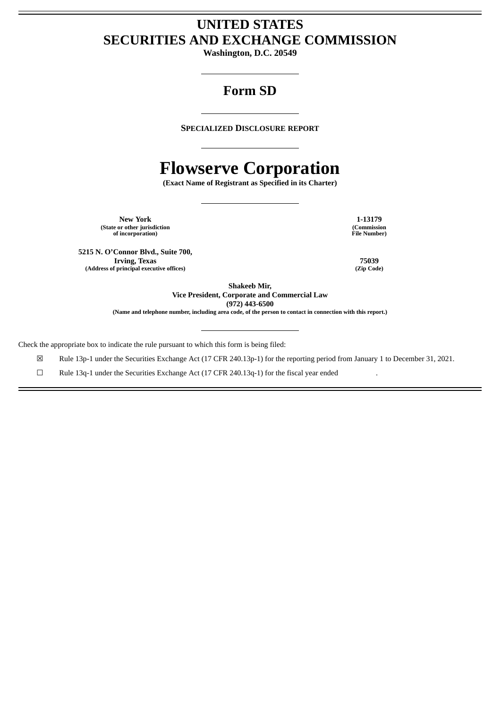# **UNITED STATES SECURITIES AND EXCHANGE COMMISSION**

**Washington, D.C. 20549**

# **Form SD**

**SPECIALIZED DISCLOSURE REPORT**

# **Flowserve Corporation**

**(Exact Name of Registrant as Specified in its Charter)**

**New York 1-13179 (State or other jurisdiction of incorporation)**

**5215 N. O'Connor Blvd., Suite 700, Irving, Texas (Address of principal executive offices)**

**(Commission File Number)**

**75039 (Zip Code)**

**Shakeeb Mir,**

**Vice President, Corporate and Commercial Law**

**(972) 443-6500**

(Name and telephone number, including area code, of the person to contact in connection with this report.)

Check the appropriate box to indicate the rule pursuant to which this form is being filed:

☒ Rule 13p-1 under the Securities Exchange Act (17 CFR 240.13p-1) for the reporting period from January 1 to December 31, 2021.

☐ Rule 13q-1 under the Securities Exchange Act (17 CFR 240.13q-1) for the fiscal year ended .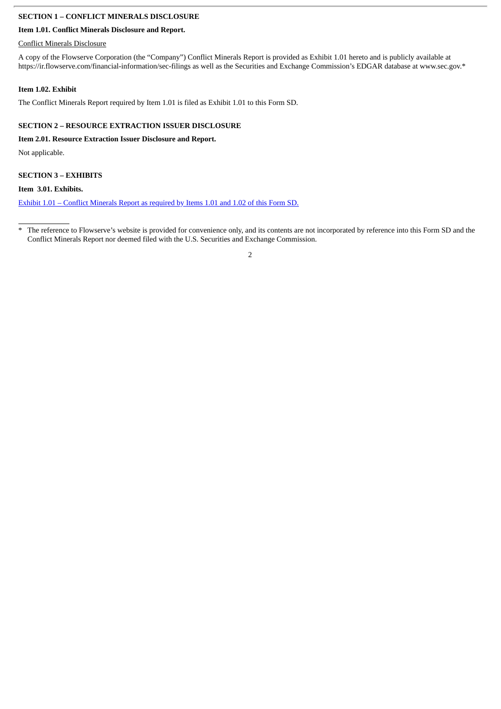# **SECTION 1 – CONFLICT MINERALS DISCLOSURE**

# **Item 1.01. Conflict Minerals Disclosure and Report.**

Conflict Minerals Disclosure

A copy of the Flowserve Corporation (the "Company") Conflict Minerals Report is provided as Exhibit 1.01 hereto and is publicly available at https://ir.flowserve.com/financial-information/sec-filings as well as the Securities and Exchange Commission's EDGAR database at www.sec.gov.\*

# **Item 1.02. Exhibit**

The Conflict Minerals Report required by Item 1.01 is filed as Exhibit 1.01 to this Form SD.

# **SECTION 2 – RESOURCE EXTRACTION ISSUER DISCLOSURE**

# **Item 2.01. Resource Extraction Issuer Disclosure and Report.**

Not applicable.

# **SECTION 3 – EXHIBITS**

# **Item 3.01. Exhibits.**

Exhibit 1.01 – Conflict [Minerals](#page-3-0) Report as required by Items 1.01 and 1.02 of this Form SD.

<sup>\*</sup> The reference to Flowserve's website is provided for convenience only, and its contents are not incorporated by reference into this Form SD and the Conflict Minerals Report nor deemed filed with the U.S. Securities and Exchange Commission.

<sup>2</sup>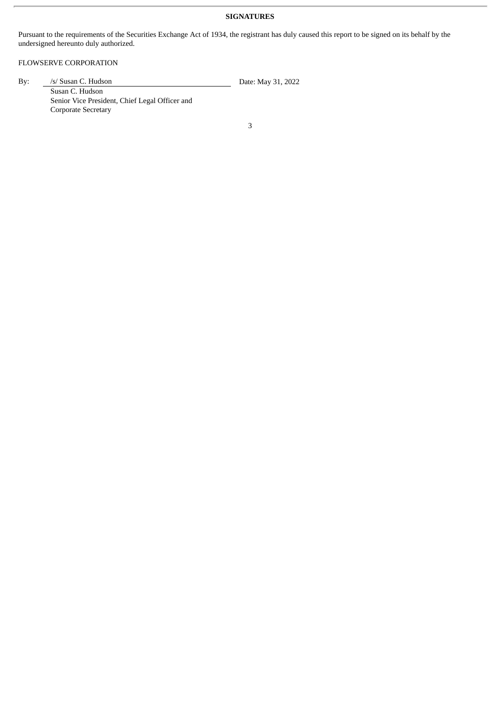# **SIGNATURES**

Pursuant to the requirements of the Securities Exchange Act of 1934, the registrant has duly caused this report to be signed on its behalf by the undersigned hereunto duly authorized.

# FLOWSERVE CORPORATION

By: /s/ Susan C. Hudson Date: May 31, 2022

Susan C. Hudson Senior Vice President, Chief Legal Officer and Corporate Secretary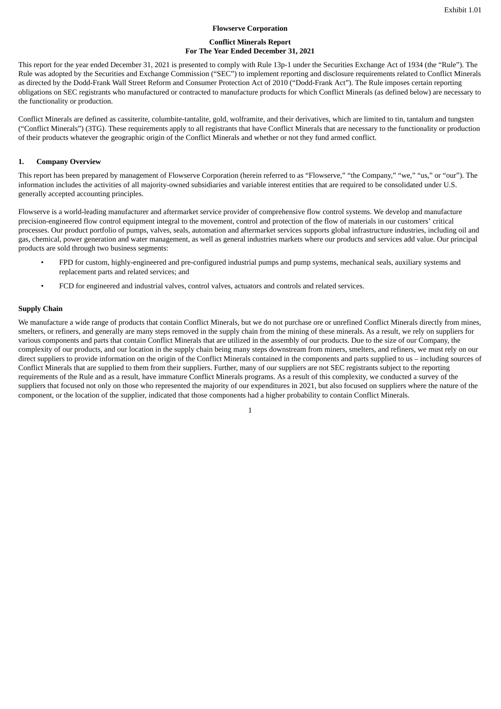#### **Flowserve Corporation**

#### **Conflict Minerals Report For The Year Ended December 31, 2021**

<span id="page-3-0"></span>This report for the year ended December 31, 2021 is presented to comply with Rule 13p-1 under the Securities Exchange Act of 1934 (the "Rule"). The Rule was adopted by the Securities and Exchange Commission ("SEC") to implement reporting and disclosure requirements related to Conflict Minerals as directed by the Dodd-Frank Wall Street Reform and Consumer Protection Act of 2010 ("Dodd-Frank Act"). The Rule imposes certain reporting obligations on SEC registrants who manufactured or contracted to manufacture products for which Conflict Minerals (as defined below) are necessary to the functionality or production.

Conflict Minerals are defined as cassiterite, columbite-tantalite, gold, wolframite, and their derivatives, which are limited to tin, tantalum and tungsten ("Conflict Minerals") (3TG). These requirements apply to all registrants that have Conflict Minerals that are necessary to the functionality or production of their products whatever the geographic origin of the Conflict Minerals and whether or not they fund armed conflict.

### **1. Company Overview**

This report has been prepared by management of Flowserve Corporation (herein referred to as "Flowserve," "the Company," "we," "us," or "our"). The information includes the activities of all majority-owned subsidiaries and variable interest entities that are required to be consolidated under U.S. generally accepted accounting principles.

Flowserve is a world-leading manufacturer and aftermarket service provider of comprehensive flow control systems. We develop and manufacture precision-engineered flow control equipment integral to the movement, control and protection of the flow of materials in our customers' critical processes. Our product portfolio of pumps, valves, seals, automation and aftermarket services supports global infrastructure industries, including oil and gas, chemical, power generation and water management, as well as general industries markets where our products and services add value. Our principal products are sold through two business segments:

- FPD for custom, highly-engineered and pre-configured industrial pumps and pump systems, mechanical seals, auxiliary systems and replacement parts and related services; and
- FCD for engineered and industrial valves, control valves, actuators and controls and related services.

### **Supply Chain**

We manufacture a wide range of products that contain Conflict Minerals, but we do not purchase ore or unrefined Conflict Minerals directly from mines, smelters, or refiners, and generally are many steps removed in the supply chain from the mining of these minerals. As a result, we rely on suppliers for various components and parts that contain Conflict Minerals that are utilized in the assembly of our products. Due to the size of our Company, the complexity of our products, and our location in the supply chain being many steps downstream from miners, smelters, and refiners, we must rely on our direct suppliers to provide information on the origin of the Conflict Minerals contained in the components and parts supplied to us – including sources of Conflict Minerals that are supplied to them from their suppliers. Further, many of our suppliers are not SEC registrants subject to the reporting requirements of the Rule and as a result, have immature Conflict Minerals programs. As a result of this complexity, we conducted a survey of the suppliers that focused not only on those who represented the majority of our expenditures in 2021, but also focused on suppliers where the nature of the component, or the location of the supplier, indicated that those components had a higher probability to contain Conflict Minerals.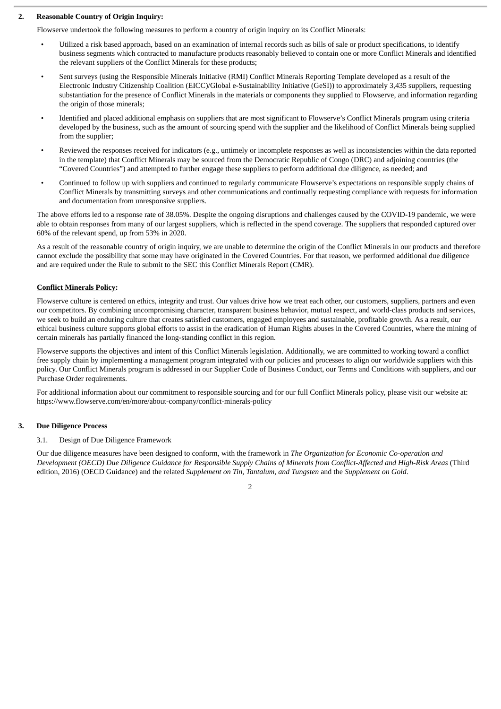# **2. Reasonable Country of Origin Inquiry:**

Flowserve undertook the following measures to perform a country of origin inquiry on its Conflict Minerals:

- Utilized a risk based approach, based on an examination of internal records such as bills of sale or product specifications, to identify business segments which contracted to manufacture products reasonably believed to contain one or more Conflict Minerals and identified the relevant suppliers of the Conflict Minerals for these products;
- Sent surveys (using the Responsible Minerals Initiative (RMI) Conflict Minerals Reporting Template developed as a result of the Electronic Industry Citizenship Coalition (EICC)/Global e-Sustainability Initiative (GeSI)) to approximately 3,435 suppliers, requesting substantiation for the presence of Conflict Minerals in the materials or components they supplied to Flowserve, and information regarding the origin of those minerals;
- Identified and placed additional emphasis on suppliers that are most significant to Flowserve's Conflict Minerals program using criteria developed by the business, such as the amount of sourcing spend with the supplier and the likelihood of Conflict Minerals being supplied from the supplier;
- Reviewed the responses received for indicators (e.g., untimely or incomplete responses as well as inconsistencies within the data reported in the template) that Conflict Minerals may be sourced from the Democratic Republic of Congo (DRC) and adjoining countries (the "Covered Countries") and attempted to further engage these suppliers to perform additional due diligence, as needed; and
- Continued to follow up with suppliers and continued to regularly communicate Flowserve's expectations on responsible supply chains of Conflict Minerals by transmitting surveys and other communications and continually requesting compliance with requests for information and documentation from unresponsive suppliers.

The above efforts led to a response rate of 38.05%. Despite the ongoing disruptions and challenges caused by the COVID-19 pandemic, we were able to obtain responses from many of our largest suppliers, which is reflected in the spend coverage. The suppliers that responded captured over 60% of the relevant spend, up from 53% in 2020.

As a result of the reasonable country of origin inquiry, we are unable to determine the origin of the Conflict Minerals in our products and therefore cannot exclude the possibility that some may have originated in the Covered Countries. For that reason, we performed additional due diligence and are required under the Rule to submit to the SEC this Conflict Minerals Report (CMR).

# **Conflict Minerals Policy:**

Flowserve culture is centered on ethics, integrity and trust. Our values drive how we treat each other, our customers, suppliers, partners and even our competitors. By combining uncompromising character, transparent business behavior, mutual respect, and world-class products and services, we seek to build an enduring culture that creates satisfied customers, engaged employees and sustainable, profitable growth. As a result, our ethical business culture supports global efforts to assist in the eradication of Human Rights abuses in the Covered Countries, where the mining of certain minerals has partially financed the long-standing conflict in this region.

Flowserve supports the objectives and intent of this Conflict Minerals legislation. Additionally, we are committed to working toward a conflict free supply chain by implementing a management program integrated with our policies and processes to align our worldwide suppliers with this policy. Our Conflict Minerals program is addressed in our Supplier Code of Business Conduct, our Terms and Conditions with suppliers, and our Purchase Order requirements.

For additional information about our commitment to responsible sourcing and for our full Conflict Minerals policy, please visit our website at: https://www.flowserve.com/en/more/about-company/conflict-minerals-policy

# **3. Due Diligence Process**

# 3.1. Design of Due Diligence Framework

Our due diligence measures have been designed to conform, with the framework in *The Organization for Economic Co-operation and* Development (OECD) Due Diligence Guidance for Responsible Supply Chains of Minerals from Conflict-Affected and High-Risk Areas (Third edition, 2016) (OECD Guidance) and the related *Supplement on Tin, Tantalum, and Tungsten* and the *Supplement on Gold*.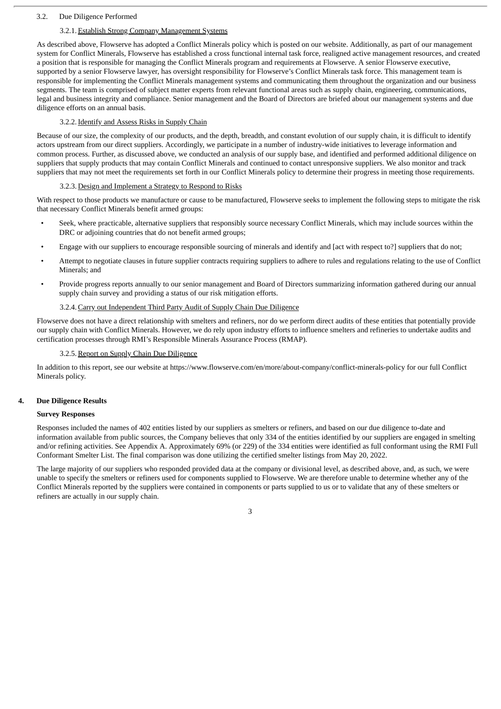### 3.2. Due Diligence Performed

# 3.2.1. Establish Strong Company Management Systems

As described above, Flowserve has adopted a Conflict Minerals policy which is posted on our website. Additionally, as part of our management system for Conflict Minerals, Flowserve has established a cross functional internal task force, realigned active management resources, and created a position that is responsible for managing the Conflict Minerals program and requirements at Flowserve. A senior Flowserve executive, supported by a senior Flowserve lawyer, has oversight responsibility for Flowserve's Conflict Minerals task force. This management team is responsible for implementing the Conflict Minerals management systems and communicating them throughout the organization and our business segments. The team is comprised of subject matter experts from relevant functional areas such as supply chain, engineering, communications, legal and business integrity and compliance. Senior management and the Board of Directors are briefed about our management systems and due diligence efforts on an annual basis.

#### 3.2.2. Identify and Assess Risks in Supply Chain

Because of our size, the complexity of our products, and the depth, breadth, and constant evolution of our supply chain, it is difficult to identify actors upstream from our direct suppliers. Accordingly, we participate in a number of industry-wide initiatives to leverage information and common process. Further, as discussed above, we conducted an analysis of our supply base, and identified and performed additional diligence on suppliers that supply products that may contain Conflict Minerals and continued to contact unresponsive suppliers. We also monitor and track suppliers that may not meet the requirements set forth in our Conflict Minerals policy to determine their progress in meeting those requirements.

#### 3.2.3. Design and Implement a Strategy to Respond to Risks

With respect to those products we manufacture or cause to be manufactured, Flowserve seeks to implement the following steps to mitigate the risk that necessary Conflict Minerals benefit armed groups:

- Seek, where practicable, alternative suppliers that responsibly source necessary Conflict Minerals, which may include sources within the DRC or adjoining countries that do not benefit armed groups;
- Engage with our suppliers to encourage responsible sourcing of minerals and identify and [act with respect to?] suppliers that do not;
- Attempt to negotiate clauses in future supplier contracts requiring suppliers to adhere to rules and regulations relating to the use of Conflict Minerals; and
- Provide progress reports annually to our senior management and Board of Directors summarizing information gathered during our annual supply chain survey and providing a status of our risk mitigation efforts.

#### 3.2.4.Carry out Independent Third Party Audit of Supply Chain Due Diligence

Flowserve does not have a direct relationship with smelters and refiners, nor do we perform direct audits of these entities that potentially provide our supply chain with Conflict Minerals. However, we do rely upon industry efforts to influence smelters and refineries to undertake audits and certification processes through RMI's Responsible Minerals Assurance Process (RMAP).

### 3.2.5. Report on Supply Chain Due Diligence

In addition to this report, see our website at https://www.flowserve.com/en/more/about-company/conflict-minerals-policy for our full Conflict Minerals policy.

#### **4. Due Diligence Results**

#### **Survey Responses**

Responses included the names of 402 entities listed by our suppliers as smelters or refiners, and based on our due diligence to-date and information available from public sources, the Company believes that only 334 of the entities identified by our suppliers are engaged in smelting and/or refining activities. See Appendix A. Approximately 69% (or 229) of the 334 entities were identified as full conformant using the RMI Full Conformant Smelter List. The final comparison was done utilizing the certified smelter listings from May 20, 2022.

The large majority of our suppliers who responded provided data at the company or divisional level, as described above, and, as such, we were unable to specify the smelters or refiners used for components supplied to Flowserve. We are therefore unable to determine whether any of the Conflict Minerals reported by the suppliers were contained in components or parts supplied to us or to validate that any of these smelters or refiners are actually in our supply chain.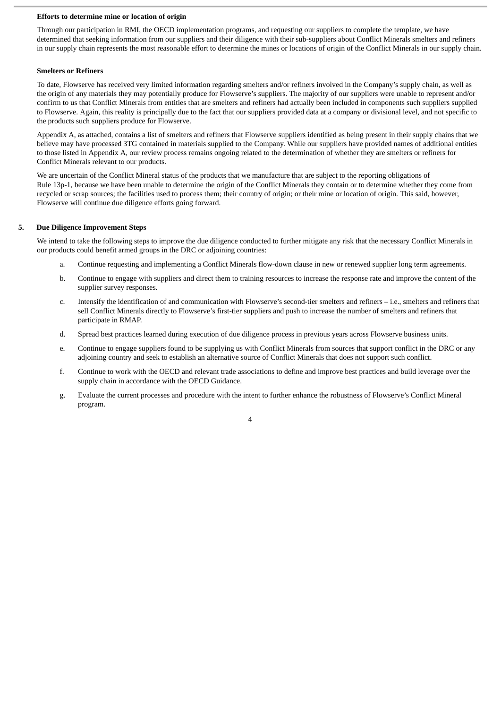#### **Efforts to determine mine or location of origin**

Through our participation in RMI, the OECD implementation programs, and requesting our suppliers to complete the template, we have determined that seeking information from our suppliers and their diligence with their sub-suppliers about Conflict Minerals smelters and refiners in our supply chain represents the most reasonable effort to determine the mines or locations of origin of the Conflict Minerals in our supply chain.

#### **Smelters or Refiners**

To date, Flowserve has received very limited information regarding smelters and/or refiners involved in the Company's supply chain, as well as the origin of any materials they may potentially produce for Flowserve's suppliers. The majority of our suppliers were unable to represent and/or confirm to us that Conflict Minerals from entities that are smelters and refiners had actually been included in components such suppliers supplied to Flowserve. Again, this reality is principally due to the fact that our suppliers provided data at a company or divisional level, and not specific to the products such suppliers produce for Flowserve.

Appendix A, as attached, contains a list of smelters and refiners that Flowserve suppliers identified as being present in their supply chains that we believe may have processed 3TG contained in materials supplied to the Company. While our suppliers have provided names of additional entities to those listed in Appendix A, our review process remains ongoing related to the determination of whether they are smelters or refiners for Conflict Minerals relevant to our products.

We are uncertain of the Conflict Mineral status of the products that we manufacture that are subject to the reporting obligations of Rule 13p-1, because we have been unable to determine the origin of the Conflict Minerals they contain or to determine whether they come from recycled or scrap sources; the facilities used to process them; their country of origin; or their mine or location of origin. This said, however, Flowserve will continue due diligence efforts going forward.

# **5. Due Diligence Improvement Steps**

We intend to take the following steps to improve the due diligence conducted to further mitigate any risk that the necessary Conflict Minerals in our products could benefit armed groups in the DRC or adjoining countries:

- a. Continue requesting and implementing a Conflict Minerals flow-down clause in new or renewed supplier long term agreements.
- b. Continue to engage with suppliers and direct them to training resources to increase the response rate and improve the content of the supplier survey responses.
- c. Intensify the identification of and communication with Flowserve's second-tier smelters and refiners i.e., smelters and refiners that sell Conflict Minerals directly to Flowserve's first-tier suppliers and push to increase the number of smelters and refiners that participate in RMAP.
- d. Spread best practices learned during execution of due diligence process in previous years across Flowserve business units.
- e. Continue to engage suppliers found to be supplying us with Conflict Minerals from sources that support conflict in the DRC or any adjoining country and seek to establish an alternative source of Conflict Minerals that does not support such conflict.
- f. Continue to work with the OECD and relevant trade associations to define and improve best practices and build leverage over the supply chain in accordance with the OECD Guidance.
- g. Evaluate the current processes and procedure with the intent to further enhance the robustness of Flowserve's Conflict Mineral program.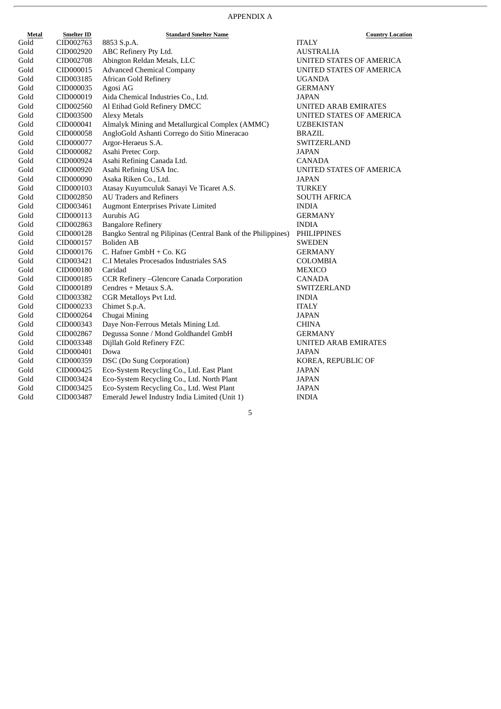$\frac{\text{Country Location}}{}$ 

| Metal | <b>Smelter ID</b> | <b>Standard Smelter Name</b>                                  | <b>Country Loca</b>             |
|-------|-------------------|---------------------------------------------------------------|---------------------------------|
| Gold  | CID002763         | 8853 S.p.A.                                                   | <b>ITALY</b>                    |
| Gold  | CID002920         | ABC Refinery Pty Ltd.                                         | <b>AUSTRALIA</b>                |
| Gold  | CID002708         | Abington Reldan Metals, LLC                                   | UNITED STATES OF AMERICA        |
| Gold  | CID000015         | <b>Advanced Chemical Company</b>                              | UNITED STATES OF AMERICA        |
| Gold  | CID003185         | <b>African Gold Refinery</b>                                  | <b>UGANDA</b>                   |
| Gold  | CID000035         | Agosi AG                                                      | <b>GERMANY</b>                  |
| Gold  | CID000019         | Aida Chemical Industries Co., Ltd.                            | JAPAN                           |
| Gold  | CID002560         | Al Etihad Gold Refinery DMCC                                  | <b>UNITED ARAB EMIRATES</b>     |
| Gold  | CID003500         | <b>Alexy Metals</b>                                           | UNITED STATES OF AMERICA        |
| Gold  | CID000041         | Almalyk Mining and Metallurgical Complex (AMMC)               | <b>UZBEKISTAN</b>               |
| Gold  | CID000058         | AngloGold Ashanti Corrego do Sitio Mineracao                  | <b>BRAZIL</b>                   |
| Gold  | CID000077         | Argor-Heraeus S.A.                                            | SWITZERLAND                     |
| Gold  | CID000082         | Asahi Pretec Corp.                                            | <b>JAPAN</b>                    |
| Gold  | CID000924         | Asahi Refining Canada Ltd.                                    | CANADA                          |
| Gold  | CID000920         | Asahi Refining USA Inc.                                       | <b>UNITED STATES OF AMERICA</b> |
| Gold  | CID000090         | Asaka Riken Co., Ltd.                                         | JAPAN                           |
| Gold  | CID000103         | Atasay Kuyumculuk Sanayi Ve Ticaret A.S.                      | <b>TURKEY</b>                   |
| Gold  | CID002850         | <b>AU Traders and Refiners</b>                                | <b>SOUTH AFRICA</b>             |
| Gold  | CID003461         | Augmont Enterprises Private Limited                           | <b>INDIA</b>                    |
| Gold  | CID000113         | Aurubis AG                                                    | <b>GERMANY</b>                  |
| Gold  | CID002863         | <b>Bangalore Refinery</b>                                     | <b>INDIA</b>                    |
| Gold  | CID000128         | Bangko Sentral ng Pilipinas (Central Bank of the Philippines) | PHILIPPINES                     |
| Gold  | CID000157         | <b>Boliden AB</b>                                             | <b>SWEDEN</b>                   |
| Gold  | CID000176         | C. Hafner GmbH + Co. KG                                       | <b>GERMANY</b>                  |
| Gold  | CID003421         | C.I Metales Procesados Industriales SAS                       | COLOMBIA                        |
| Gold  | CID000180         | Caridad                                                       | <b>MEXICO</b>                   |
| Gold  | CID000185         | CCR Refinery - Glencore Canada Corporation                    | <b>CANADA</b>                   |
| Gold  | CID000189         | Cendres + Metaux S.A.                                         | SWITZERLAND                     |
| Gold  | CID003382         | CGR Metalloys Pvt Ltd.                                        | <b>INDIA</b>                    |
| Gold  | CID000233         | Chimet S.p.A.                                                 | <b>ITALY</b>                    |
| Gold  | CID000264         | Chugai Mining                                                 | <b>JAPAN</b>                    |
| Gold  | CID000343         | Daye Non-Ferrous Metals Mining Ltd.                           | <b>CHINA</b>                    |
| Gold  | CID002867         | Degussa Sonne / Mond Goldhandel GmbH                          | <b>GERMANY</b>                  |
| Gold  | CID003348         | Dijllah Gold Refinery FZC                                     | <b>UNITED ARAB EMIRATES</b>     |
| Gold  | CID000401         | Dowa                                                          | <b>JAPAN</b>                    |
| Gold  | CID000359         | DSC (Do Sung Corporation)                                     | KOREA, REPUBLIC OF              |
| Gold  | CID000425         | Eco-System Recycling Co., Ltd. East Plant                     | <b>JAPAN</b>                    |
| Gold  | CID003424         | Eco-System Recycling Co., Ltd. North Plant                    | <b>JAPAN</b>                    |
| Gold  | CID003425         | Eco-System Recycling Co., Ltd. West Plant                     | <b>JAPAN</b>                    |
| Gold  | CID003487         | Emerald Jewel Industry India Limited (Unit 1)                 | <b>INDIA</b>                    |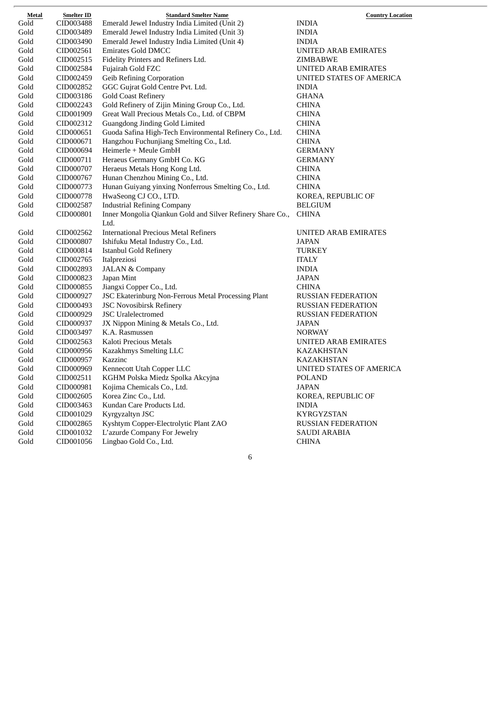| Metal                 | <b>Smelter ID</b> | <b>Standard Smelter Name</b>                               | <b>Country Location</b>     |
|-----------------------|-------------------|------------------------------------------------------------|-----------------------------|
| Gold                  | CID003488         | Emerald Jewel Industry India Limited (Unit 2)              | <b>INDIA</b>                |
| Gold                  | CID003489         | Emerald Jewel Industry India Limited (Unit 3)              | <b>INDIA</b>                |
| Gold                  | CID003490         | Emerald Jewel Industry India Limited (Unit 4)              | <b>INDIA</b>                |
| Gold                  | CID002561         | <b>Emirates Gold DMCC</b>                                  | <b>UNITED ARAB EMIRATES</b> |
| Gold                  | CID002515         | Fidelity Printers and Refiners Ltd.                        | ZIMBABWE                    |
| Gold                  | CID002584         | Fujairah Gold FZC                                          | UNITED ARAB EMIRATES        |
| Gold                  | CID002459         | <b>Geib Refining Corporation</b>                           | UNITED STATES OF AMERICA    |
| Gold                  | CID002852         | GGC Gujrat Gold Centre Pvt. Ltd.                           | <b>INDIA</b>                |
| Gold                  | CID003186         | <b>Gold Coast Refinery</b>                                 | <b>GHANA</b>                |
| $\operatorname{Gold}$ | CID002243         | Gold Refinery of Zijin Mining Group Co., Ltd.              | <b>CHINA</b>                |
| $\operatorname{Gold}$ | CID001909         | Great Wall Precious Metals Co., Ltd. of CBPM               | <b>CHINA</b>                |
| Gold                  | CID002312         | Guangdong Jinding Gold Limited                             | <b>CHINA</b>                |
| Gold                  | CID000651         | Guoda Safina High-Tech Environmental Refinery Co., Ltd.    | <b>CHINA</b>                |
| Gold                  | CID000671         | Hangzhou Fuchunjiang Smelting Co., Ltd.                    | <b>CHINA</b>                |
| Gold                  | CID000694         | Heimerle + Meule GmbH                                      | <b>GERMANY</b>              |
| Gold                  | CID000711         | Heraeus Germany GmbH Co. KG                                | <b>GERMANY</b>              |
| Gold                  | CID000707         | Heraeus Metals Hong Kong Ltd.                              | <b>CHINA</b>                |
| Gold                  | CID000767         | Hunan Chenzhou Mining Co., Ltd.                            | <b>CHINA</b>                |
| Gold                  | CID000773         | Hunan Guiyang yinxing Nonferrous Smelting Co., Ltd.        | <b>CHINA</b>                |
| Gold                  | CID000778         | HwaSeong CJ CO., LTD.                                      | KOREA, REPUBLIC OF          |
| Gold                  | CID002587         | <b>Industrial Refining Company</b>                         | <b>BELGIUM</b>              |
| Gold                  | CID000801         | Inner Mongolia Qiankun Gold and Silver Refinery Share Co., | <b>CHINA</b>                |
|                       |                   | Ltd.                                                       |                             |
| Gold                  | CID002562         | <b>International Precious Metal Refiners</b>               | UNITED ARAB EMIRATES        |
| Gold                  | CID000807         | Ishifuku Metal Industry Co., Ltd.                          | JAPAN                       |
| Gold                  | CID000814         | Istanbul Gold Refinery                                     | <b>TURKEY</b>               |
| Gold                  | CID002765         | Italpreziosi                                               | <b>ITALY</b>                |
| Gold                  | CID002893         | <b>JALAN &amp; Company</b>                                 | <b>INDIA</b>                |
| Gold                  | CID000823         | Japan Mint                                                 | <b>JAPAN</b>                |
| Gold                  | CID000855         | Jiangxi Copper Co., Ltd.                                   | <b>CHINA</b>                |
| Gold                  | CID000927         | JSC Ekaterinburg Non-Ferrous Metal Processing Plant        | RUSSIAN FEDERATION          |
| Gold                  | CID000493         | <b>JSC Novosibirsk Refinery</b>                            | <b>RUSSIAN FEDERATION</b>   |
| Gold                  | CID000929         | <b>JSC</b> Uralelectromed                                  | <b>RUSSIAN FEDERATION</b>   |
| Gold                  | CID000937         | JX Nippon Mining & Metals Co., Ltd.                        | JAPAN                       |
| Gold                  | CID003497         | K.A. Rasmussen                                             | <b>NORWAY</b>               |
| Gold                  | CID002563         | Kaloti Precious Metals                                     | UNITED ARAB EMIRATES        |
| Gold                  | CID000956         | Kazakhmys Smelting LLC                                     | <b>KAZAKHSTAN</b>           |
| Gold                  | CID000957         | Kazzinc                                                    | <b>KAZAKHSTAN</b>           |
| Gold                  | CID000969         | Kennecott Utah Copper LLC                                  | UNITED STATES OF AMERICA    |
| Gold                  | CID002511         | KGHM Polska Miedz Spolka Akcyjna                           | POLAND                      |
| Gold                  | CID000981         | Kojima Chemicals Co., Ltd.                                 | <b>JAPAN</b>                |
| Gold                  | CID002605         | Korea Zinc Co., Ltd.                                       | KOREA, REPUBLIC OF          |
| Gold                  | CID003463         | Kundan Care Products Ltd.                                  | <b>INDIA</b>                |
| Gold                  | CID001029         | Kyrgyzaltyn JSC                                            | <b>KYRGYZSTAN</b>           |
| Gold                  | CID002865         | Kyshtym Copper-Electrolytic Plant ZAO                      | <b>RUSSIAN FEDERATION</b>   |
| Gold                  | CID001032         | L'azurde Company For Jewelry                               | <b>SAUDI ARABIA</b>         |
| Gold                  | CID001056         | Lingbao Gold Co., Ltd.                                     | <b>CHINA</b>                |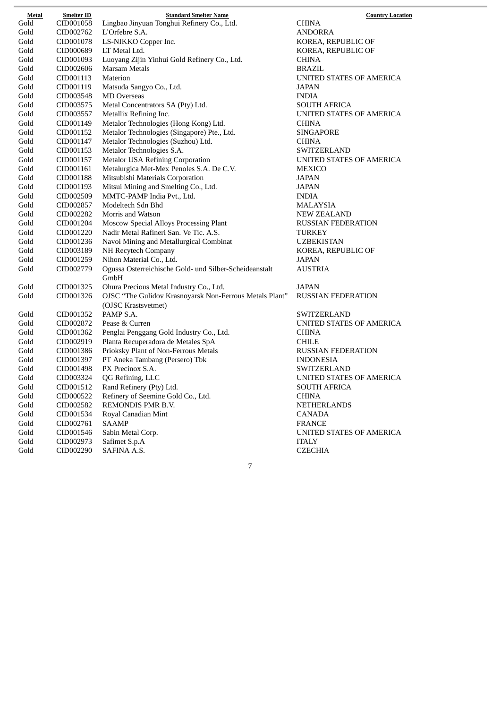| Metal | <b>Smelter ID</b> | <b>Standard Smelter Name</b>                            | <b>Country Location</b>   |
|-------|-------------------|---------------------------------------------------------|---------------------------|
| Gold  | CID001058         | Lingbao Jinyuan Tonghui Refinery Co., Ltd.              | <b>CHINA</b>              |
| Gold  | CID002762         | L'Orfebre S.A.                                          | ANDORRA                   |
| Gold  | CID001078         | LS-NIKKO Copper Inc.                                    | KOREA, REPUBLIC OF        |
| Gold  | CID000689         | LT Metal Ltd.                                           | KOREA, REPUBLIC OF        |
| Gold  | CID001093         | Luoyang Zijin Yinhui Gold Refinery Co., Ltd.            | <b>CHINA</b>              |
| Gold  | CID002606         | Marsam Metals                                           | BRAZIL                    |
| Gold  | CID001113         | Materion                                                | UNITED STATES OF AMERICA  |
| Gold  | CID001119         | Matsuda Sangyo Co., Ltd.                                | JAPAN                     |
| Gold  | CID003548         | <b>MD</b> Overseas                                      | <b>INDIA</b>              |
| Gold  | CID003575         | Metal Concentrators SA (Pty) Ltd.                       | <b>SOUTH AFRICA</b>       |
| Gold  | CID003557         | Metallix Refining Inc.                                  | UNITED STATES OF AMERICA  |
| Gold  | CID001149         | Metalor Technologies (Hong Kong) Ltd.                   | <b>CHINA</b>              |
| Gold  | CID001152         | Metalor Technologies (Singapore) Pte., Ltd.             | <b>SINGAPORE</b>          |
| Gold  | CID001147         | Metalor Technologies (Suzhou) Ltd.                      | <b>CHINA</b>              |
| Gold  | CID001153         | Metalor Technologies S.A.                               | SWITZERLAND               |
| Gold  | CID001157         | <b>Metalor USA Refining Corporation</b>                 | UNITED STATES OF AMERICA  |
| Gold  | CID001161         | Metalurgica Met-Mex Penoles S.A. De C.V.                | <b>MEXICO</b>             |
| Gold  | CID001188         | Mitsubishi Materials Corporation                        | <b>JAPAN</b>              |
| Gold  | CID001193         | Mitsui Mining and Smelting Co., Ltd.                    | JAPAN                     |
| Gold  | CID002509         | MMTC-PAMP India Pvt., Ltd.                              | <b>INDIA</b>              |
| Gold  | CID002857         | Modeltech Sdn Bhd                                       | <b>MALAYSIA</b>           |
| Gold  | CID002282         | Morris and Watson                                       | <b>NEW ZEALAND</b>        |
| Gold  | CID001204         | Moscow Special Alloys Processing Plant                  | <b>RUSSIAN FEDERATION</b> |
| Gold  | CID001220         | Nadir Metal Rafineri San. Ve Tic. A.S.                  | TURKEY                    |
| Gold  | CID001236         | Navoi Mining and Metallurgical Combinat                 | <b>UZBEKISTAN</b>         |
| Gold  | CID003189         | NH Recytech Company                                     | KOREA, REPUBLIC OF        |
| Gold  | CID001259         | Nihon Material Co., Ltd.                                | JAPAN                     |
| Gold  | CID002779         | Ogussa Osterreichische Gold- und Silber-Scheideanstalt  | AUSTRIA                   |
|       |                   | GmbH                                                    |                           |
| Gold  | CID001325         | Ohura Precious Metal Industry Co., Ltd.                 | JAPAN                     |
| Gold  | CID001326         | OJSC "The Gulidov Krasnoyarsk Non-Ferrous Metals Plant" | <b>RUSSIAN FEDERATION</b> |
|       |                   | (OJSC Krastsvetmet)                                     |                           |
| Gold  | CID001352         | PAMP S.A.                                               | SWITZERLAND               |
| Gold  | CID002872         | Pease & Curren                                          | UNITED STATES OF AMERICA  |
| Gold  | CID001362         | Penglai Penggang Gold Industry Co., Ltd.                | <b>CHINA</b>              |
| Gold  | CID002919         | Planta Recuperadora de Metales SpA                      | <b>CHILE</b>              |
| Gold  | CID001386         | Prioksky Plant of Non-Ferrous Metals                    | <b>RUSSIAN FEDERATION</b> |
| Gold  | CID001397         | PT Aneka Tambang (Persero) Tbk                          | <b>INDONESIA</b>          |
| Gold  | CID001498         | PX Precinox S.A.                                        | SWITZERLAND               |
| Gold  | CID003324         | QG Refining, LLC                                        | UNITED STATES OF AMERICA  |
| Gold  | CID001512         | Rand Refinery (Pty) Ltd.                                | <b>SOUTH AFRICA</b>       |
| Gold  | CID000522         | Refinery of Seemine Gold Co., Ltd.                      | <b>CHINA</b>              |
| Gold  | CID002582         | REMONDIS PMR B.V.                                       | <b>NETHERLANDS</b>        |
| Gold  | CID001534         | Royal Canadian Mint                                     | <b>CANADA</b>             |
| Gold  | CID002761         | <b>SAAMP</b>                                            | <b>FRANCE</b>             |
| Gold  | CID001546         | Sabin Metal Corp.                                       | UNITED STATES OF AMERICA  |
| Gold  | CID002973         | Safimet S.p.A                                           | <b>ITALY</b>              |
| Gold  | CID002290         | SAFINA A.S.                                             | <b>CZECHIA</b>            |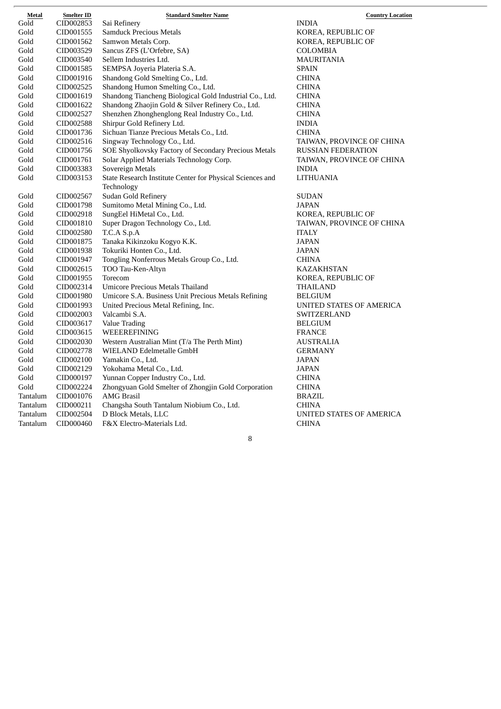| Metal                 | <b>Smelter ID</b> | <b>Standard Smelter Name</b>                              | <b>Country Location</b>   |
|-----------------------|-------------------|-----------------------------------------------------------|---------------------------|
| $\operatorname{Gold}$ | CID002853         | Sai Refinery                                              | <b>INDIA</b>              |
| Gold                  | CID001555         | <b>Samduck Precious Metals</b>                            | KOREA, REPUBLIC OF        |
| Gold                  | CID001562         | Samwon Metals Corp.                                       | KOREA, REPUBLIC OF        |
| Gold                  | CID003529         | Sancus ZFS (L'Orfebre, SA)                                | COLOMBIA                  |
| Gold                  | CID003540         | Sellem Industries Ltd.                                    | <b>MAURITANIA</b>         |
| Gold                  | CID001585         | SEMPSA Joyeria Plateria S.A.                              | <b>SPAIN</b>              |
| Gold                  | CID001916         | Shandong Gold Smelting Co., Ltd.                          | <b>CHINA</b>              |
| Gold                  | CID002525         | Shandong Humon Smelting Co., Ltd.                         | <b>CHINA</b>              |
| Gold                  | CID001619         | Shandong Tiancheng Biological Gold Industrial Co., Ltd.   | <b>CHINA</b>              |
| Gold                  | CID001622         | Shandong Zhaojin Gold & Silver Refinery Co., Ltd.         | <b>CHINA</b>              |
| Gold                  | CID002527         | Shenzhen Zhonghenglong Real Industry Co., Ltd.            | <b>CHINA</b>              |
| Gold                  | CID002588         | Shirpur Gold Refinery Ltd.                                | <b>INDIA</b>              |
| Gold                  | CID001736         | Sichuan Tianze Precious Metals Co., Ltd.                  | <b>CHINA</b>              |
| Gold                  | CID002516         | Singway Technology Co., Ltd.                              | TAIWAN, PROVINCE OF CHINA |
| Gold                  | CID001756         | SOE Shyolkovsky Factory of Secondary Precious Metals      | <b>RUSSIAN FEDERATION</b> |
| Gold                  | CID001761         | Solar Applied Materials Technology Corp.                  | TAIWAN, PROVINCE OF CHINA |
| Gold                  | CID003383         | Sovereign Metals                                          | <b>INDIA</b>              |
| Gold                  | CID003153         | State Research Institute Center for Physical Sciences and | LITHUANIA                 |
|                       |                   | Technology                                                |                           |
| Gold                  | CID002567         | <b>Sudan Gold Refinery</b>                                | <b>SUDAN</b>              |
| Gold                  | CID001798         | Sumitomo Metal Mining Co., Ltd.                           | <b>JAPAN</b>              |
| Gold                  | CID002918         | SungEel HiMetal Co., Ltd.                                 | KOREA, REPUBLIC OF        |
| Gold                  | CID001810         | Super Dragon Technology Co., Ltd.                         | TAIWAN, PROVINCE OF CHINA |
| Gold                  | CID002580         | T.C.A S.p.A                                               | <b>ITALY</b>              |
| Gold                  | CID001875         | Tanaka Kikinzoku Kogyo K.K.                               | JAPAN                     |
| Gold                  | CID001938         | Tokuriki Honten Co., Ltd.                                 | <b>JAPAN</b>              |
| Gold                  | CID001947         | Tongling Nonferrous Metals Group Co., Ltd.                | <b>CHINA</b>              |
| Gold                  | CID002615         | TOO Tau-Ken-Altyn                                         | KAZAKHSTAN                |
| Gold                  | CID001955         | Torecom                                                   | KOREA, REPUBLIC OF        |
| Gold                  | CID002314         | Umicore Precious Metals Thailand                          | THAILAND                  |
| Gold                  | CID001980         | Umicore S.A. Business Unit Precious Metals Refining       | <b>BELGIUM</b>            |
| Gold                  | CID001993         | United Precious Metal Refining, Inc.                      | UNITED STATES OF AMERICA  |
| Gold                  | CID002003         | Valcambi S.A.                                             | SWITZERLAND               |
| Gold                  | CID003617         | Value Trading                                             | <b>BELGIUM</b>            |
| Gold                  | CID003615         | WEEEREFINING                                              | <b>FRANCE</b>             |
| Gold                  | CID002030         | Western Australian Mint (T/a The Perth Mint)              | AUSTRALIA                 |
| Gold                  | CID002778         | WIELAND Edelmetalle GmbH                                  | <b>GERMANY</b>            |
| Gold                  | CID002100         | Yamakin Co., Ltd.                                         | <b>JAPAN</b>              |
| Gold                  | CID002129         | Yokohama Metal Co., Ltd.                                  | <b>JAPAN</b>              |
| Gold                  | CID000197         | Yunnan Copper Industry Co., Ltd.                          | <b>CHINA</b>              |
| Gold                  | CID002224         | Zhongyuan Gold Smelter of Zhongjin Gold Corporation       | <b>CHINA</b>              |
| Tantalum              | CID001076         | <b>AMG Brasil</b>                                         | <b>BRAZIL</b>             |
| Tantalum              | CID000211         | Changsha South Tantalum Niobium Co., Ltd.                 | <b>CHINA</b>              |
| Tantalum              | CID002504         | D Block Metals, LLC                                       | UNITED STATES OF AMERICA  |
| Tantalum              | CID000460         | F&X Electro-Materials Ltd.                                | <b>CHINA</b>              |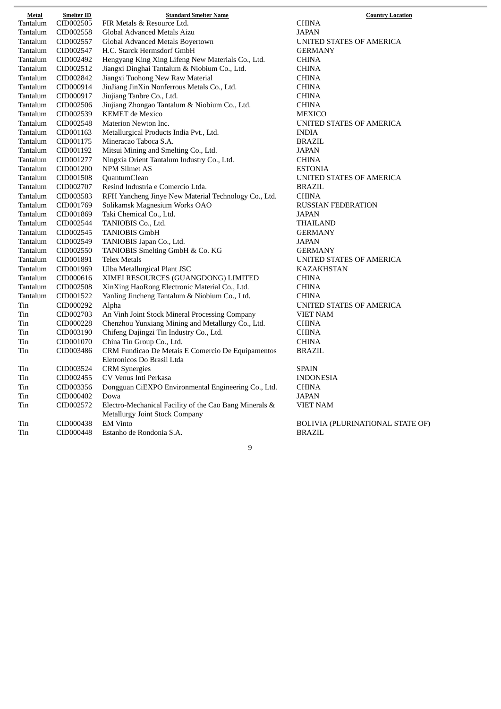| Metal    | <b>Smelter ID</b> | <b>Standard Smelter Name</b>                           | <b>Country Loca</b>              |
|----------|-------------------|--------------------------------------------------------|----------------------------------|
| Tantalum | CID002505         | FIR Metals & Resource Ltd.                             | <b>CHINA</b>                     |
| Tantalum | CID002558         | Global Advanced Metals Aizu                            | JAPAN                            |
| Tantalum | CID002557         | Global Advanced Metals Boyertown                       | UNITED STATES OF AMERICA         |
| Tantalum | CID002547         | H.C. Starck Hermsdorf GmbH                             | <b>GERMANY</b>                   |
| Tantalum | CID002492         | Hengyang King Xing Lifeng New Materials Co., Ltd.      | <b>CHINA</b>                     |
| Tantalum | CID002512         | Jiangxi Dinghai Tantalum & Niobium Co., Ltd.           | <b>CHINA</b>                     |
| Tantalum | CID002842         | Jiangxi Tuohong New Raw Material                       | <b>CHINA</b>                     |
| Tantalum | CID000914         | JiuJiang JinXin Nonferrous Metals Co., Ltd.            | <b>CHINA</b>                     |
| Tantalum | CID000917         | Jiujiang Tanbre Co., Ltd.                              | <b>CHINA</b>                     |
| Tantalum | CID002506         | Jiujiang Zhongao Tantalum & Niobium Co., Ltd.          | <b>CHINA</b>                     |
| Tantalum | CID002539         | <b>KEMET</b> de Mexico                                 | <b>MEXICO</b>                    |
| Tantalum | CID002548         | Materion Newton Inc.                                   | UNITED STATES OF AMERICA         |
| Tantalum | CID001163         | Metallurgical Products India Pvt., Ltd.                | <b>INDIA</b>                     |
| Tantalum | CID001175         | Mineracao Taboca S.A.                                  | <b>BRAZIL</b>                    |
| Tantalum | CID001192         | Mitsui Mining and Smelting Co., Ltd.                   | <b>JAPAN</b>                     |
| Tantalum | CID001277         | Ningxia Orient Tantalum Industry Co., Ltd.             | <b>CHINA</b>                     |
| Tantalum | CID001200         | <b>NPM Silmet AS</b>                                   | <b>ESTONIA</b>                   |
| Tantalum | CID001508         | QuantumClean                                           | UNITED STATES OF AMERICA         |
| Tantalum | CID002707         | Resind Industria e Comercio Ltda.                      | <b>BRAZIL</b>                    |
| Tantalum | CID003583         | RFH Yancheng Jinye New Material Technology Co., Ltd.   | <b>CHINA</b>                     |
| Tantalum | CID001769         | Solikamsk Magnesium Works OAO                          | <b>RUSSIAN FEDERATION</b>        |
| Tantalum | CID001869         | Taki Chemical Co., Ltd.                                | JAPAN                            |
| Tantalum | CID002544         | TANIOBIS Co., Ltd.                                     | THAILAND                         |
| Tantalum | CID002545         | <b>TANIOBIS GmbH</b>                                   | <b>GERMANY</b>                   |
| Tantalum | CID002549         | TANIOBIS Japan Co., Ltd.                               | <b>JAPAN</b>                     |
| Tantalum | CID002550         | TANIOBIS Smelting GmbH & Co. KG                        | <b>GERMANY</b>                   |
| Tantalum | CID001891         | <b>Telex Metals</b>                                    | UNITED STATES OF AMERICA         |
| Tantalum | CID001969         | Ulba Metallurgical Plant JSC                           | KAZAKHSTAN                       |
| Tantalum | CID000616         | XIMEI RESOURCES (GUANGDONG) LIMITED                    | <b>CHINA</b>                     |
| Tantalum | CID002508         | XinXing HaoRong Electronic Material Co., Ltd.          | <b>CHINA</b>                     |
| Tantalum | CID001522         | Yanling Jincheng Tantalum & Niobium Co., Ltd.          | CHINA                            |
| Tin      | CID000292         | Alpha                                                  | UNITED STATES OF AMERICA         |
| Tin      | CID002703         | An Vinh Joint Stock Mineral Processing Company         | <b>VIET NAM</b>                  |
| Tin      | CID000228         | Chenzhou Yunxiang Mining and Metallurgy Co., Ltd.      | <b>CHINA</b>                     |
| Tin      | CID003190         | Chifeng Dajingzi Tin Industry Co., Ltd.                | <b>CHINA</b>                     |
| Tin      | CID001070         | China Tin Group Co., Ltd.                              | <b>CHINA</b>                     |
| Tin      | CID003486         | CRM Fundicao De Metais E Comercio De Equipamentos      | <b>BRAZIL</b>                    |
|          |                   | Eletronicos Do Brasil Ltda                             |                                  |
| Tin      | CID003524         | <b>CRM</b> Synergies                                   | <b>SPAIN</b>                     |
| Tin      | CID002455         | CV Venus Inti Perkasa                                  | <b>INDONESIA</b>                 |
| Tin      | CID003356         | Dongguan CiEXPO Environmental Engineering Co., Ltd.    | <b>CHINA</b>                     |
| Tin      | CID000402         | Dowa                                                   | JAPAN                            |
| Tin      | CID002572         | Electro-Mechanical Facility of the Cao Bang Minerals & | VIET NAM                         |
|          |                   | <b>Metallurgy Joint Stock Company</b>                  |                                  |
| Tin      | CID000438         | <b>EM Vinto</b>                                        | <b>BOLIVIA (PLURINATIONAL ST</b> |
| Tin      | CID000448         | Estanho de Rondonia S.A.                               | <b>BRAZIL</b>                    |

 $\overline{r}$ 

RINATIONAL STATE OF)

 $\frac{\text{Country Location}}{}$ 

 $\overline{\phantom{a}}$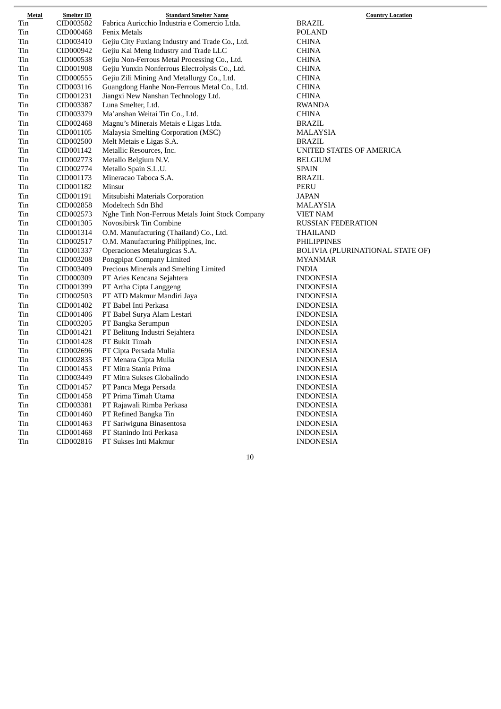| Metal | Smelter ID | <b>Standard Smelter Name</b>                     | <b>Country Location</b>          |
|-------|------------|--------------------------------------------------|----------------------------------|
| Tin   | CID003582  | Fabrica Auricchio Industria e Comercio Ltda.     | BRAZIL                           |
| Tin   | CID000468  | <b>Fenix Metals</b>                              | POLAND                           |
| Tin   | CID003410  | Gejiu City Fuxiang Industry and Trade Co., Ltd.  | <b>CHINA</b>                     |
| Tin   | CID000942  | Gejiu Kai Meng Industry and Trade LLC            | <b>CHINA</b>                     |
| Tin   | CID000538  | Gejiu Non-Ferrous Metal Processing Co., Ltd.     | <b>CHINA</b>                     |
| Tin   | CID001908  | Gejiu Yunxin Nonferrous Electrolysis Co., Ltd.   | <b>CHINA</b>                     |
| Tin   | CID000555  | Gejiu Zili Mining And Metallurgy Co., Ltd.       | <b>CHINA</b>                     |
| Tin   | CID003116  | Guangdong Hanhe Non-Ferrous Metal Co., Ltd.      | <b>CHINA</b>                     |
| Tin   | CID001231  | Jiangxi New Nanshan Technology Ltd.              | <b>CHINA</b>                     |
| Tin   | CID003387  | Luna Smelter, Ltd.                               | <b>RWANDA</b>                    |
| Tin   | CID003379  | Ma'anshan Weitai Tin Co., Ltd.                   | <b>CHINA</b>                     |
| Tin   | CID002468  | Magnu's Minerais Metais e Ligas Ltda.            | BRAZIL                           |
| Tin   | CID001105  | Malaysia Smelting Corporation (MSC)              | <b>MALAYSIA</b>                  |
| Tin   | CID002500  | Melt Metais e Ligas S.A.                         | <b>BRAZIL</b>                    |
| Tin   | CID001142  | Metallic Resources, Inc.                         | UNITED STATES OF AMERICA         |
| Tin   | CID002773  | Metallo Belgium N.V.                             | <b>BELGIUM</b>                   |
| Tin   | CID002774  | Metallo Spain S.L.U.                             | <b>SPAIN</b>                     |
| Tin   | CID001173  | Mineracao Taboca S.A.                            | <b>BRAZIL</b>                    |
| Tin   | CID001182  | Minsur                                           | <b>PERU</b>                      |
| Tin   | CID001191  | Mitsubishi Materials Corporation                 | <b>JAPAN</b>                     |
| Tin   | CID002858  | Modeltech Sdn Bhd                                | MALAYSIA                         |
| Tin   | CID002573  | Nghe Tinh Non-Ferrous Metals Joint Stock Company | <b>VIET NAM</b>                  |
| Tin   | CID001305  | Novosibirsk Tin Combine                          | RUSSIAN FEDERATION               |
| Tin   | CID001314  | O.M. Manufacturing (Thailand) Co., Ltd.          | THAILAND                         |
| Tin   | CID002517  | O.M. Manufacturing Philippines, Inc.             | PHILIPPINES                      |
| Tin   | CID001337  | Operaciones Metalurgicas S.A.                    | BOLIVIA (PLURINATIONAL STATE OF) |
| Tin   | CID003208  | Pongpipat Company Limited                        | <b>MYANMAR</b>                   |
| Tin   | CID003409  | Precious Minerals and Smelting Limited           | <b>INDIA</b>                     |
| Tin   | CID000309  | PT Aries Kencana Sejahtera                       | <b>INDONESIA</b>                 |
| Tin   | CID001399  | PT Artha Cipta Langgeng                          | <b>INDONESIA</b>                 |
| Tin   | CID002503  | PT ATD Makmur Mandiri Jaya                       | <b>INDONESIA</b>                 |
| Tin   | CID001402  | PT Babel Inti Perkasa                            | <b>INDONESIA</b>                 |
| Tin   | CID001406  | PT Babel Surya Alam Lestari                      | <b>INDONESIA</b>                 |
| Tin   | CID003205  | PT Bangka Serumpun                               | <b>INDONESIA</b>                 |
| Tin   | CID001421  | PT Belitung Industri Sejahtera                   | <b>INDONESIA</b>                 |
| Tin   | CID001428  | PT Bukit Timah                                   | <b>INDONESIA</b>                 |
| Tin   | CID002696  | PT Cipta Persada Mulia                           | <b>INDONESIA</b>                 |
| Tin   | CID002835  | PT Menara Cipta Mulia                            | <b>INDONESIA</b>                 |
| Tin   | CID001453  | PT Mitra Stania Prima                            | <b>INDONESIA</b>                 |
| Tin   | CID003449  | PT Mitra Sukses Globalindo                       | <b>INDONESIA</b>                 |
| Tin   | CID001457  | PT Panca Mega Persada                            | <b>INDONESIA</b>                 |
| Tin   | CID001458  | PT Prima Timah Utama                             | <b>INDONESIA</b>                 |
| Tin   | CID003381  | PT Rajawali Rimba Perkasa                        | <b>INDONESIA</b>                 |
| Tin   | CID001460  | PT Refined Bangka Tin                            | <b>INDONESIA</b>                 |
| Tin   | CID001463  | PT Sariwiguna Binasentosa                        | <b>INDONESIA</b>                 |
|       |            |                                                  |                                  |
| Tin   | CID001468  | PT Stanindo Inti Perkasa                         | <b>INDONESIA</b>                 |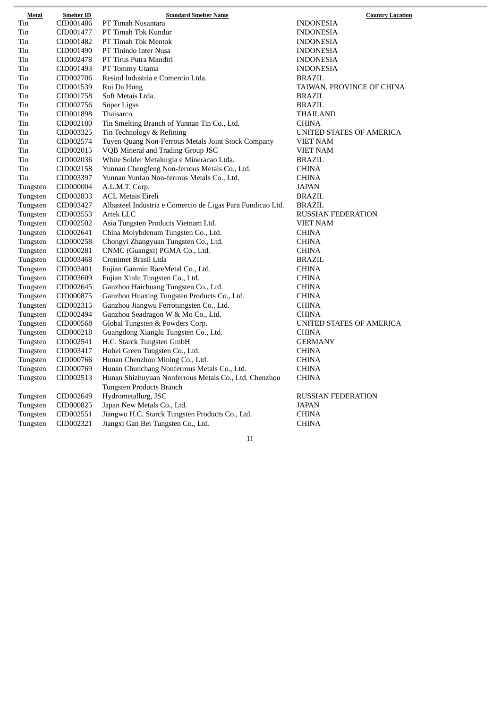| <b>Metal</b> | <b>Smelter ID</b> | <b>Standard Smelter Name</b>                               | <b>Country Location</b>   |
|--------------|-------------------|------------------------------------------------------------|---------------------------|
| Tin          | CID001486         | PT Timah Nusantara                                         | <b>INDONESIA</b>          |
| Tin          | CID001477         | PT Timah Tbk Kundur                                        | <b>INDONESIA</b>          |
| Tin          | CID001482         | PT Timah Tbk Mentok                                        | <b>INDONESIA</b>          |
| Tin          | CID001490         | PT Tinindo Inter Nusa                                      | <b>INDONESIA</b>          |
| Tin          | CID002478         | PT Tirus Putra Mandiri                                     | <b>INDONESIA</b>          |
| Tin          | CID001493         | PT Tommy Utama                                             | <b>INDONESIA</b>          |
| Tin          | CID002706         | Resind Industria e Comercio Ltda.                          | BRAZIL                    |
| Tin          | CID001539         | Rui Da Hung                                                | TAIWAN, PROVINCE OF CHINA |
| Tin          | CID001758         | Soft Metais Ltda.                                          | BRAZIL                    |
| Tin          | CID002756         | Super Ligas                                                | <b>BRAZIL</b>             |
| Tin          | CID001898         | Thaisarco                                                  | THAILAND                  |
| Tin          | CID002180         | Tin Smelting Branch of Yunnan Tin Co., Ltd.                | <b>CHINA</b>              |
| Tin          | CID003325         | Tin Technology & Refining                                  | UNITED STATES OF AMERICA  |
| Tin          | CID002574         | Tuyen Quang Non-Ferrous Metals Joint Stock Company         | VIET NAM                  |
| Tin          | CID002015         | VQB Mineral and Trading Group JSC                          | VIET NAM                  |
| Tin          | CID002036         | White Solder Metalurgia e Mineracao Ltda.                  | BRAZIL                    |
| Tin          | CID002158         | Yunnan Chengfeng Non-ferrous Metals Co., Ltd.              | <b>CHINA</b>              |
| Tin          | CID003397         | Yunnan Yunfan Non-ferrous Metals Co., Ltd.                 | <b>CHINA</b>              |
| Tungsten     | CID000004         | A.L.M.T. Corp.                                             | JAPAN                     |
| Tungsten     | CID002833         | <b>ACL Metais Eireli</b>                                   | BRAZIL                    |
| Tungsten     | CID003427         | Albasteel Industria e Comercio de Ligas Para Fundicao Ltd. | BRAZIL                    |
| Tungsten     | CID003553         | Artek LLC                                                  | <b>RUSSIAN FEDERATION</b> |
| Tungsten     | CID002502         | Asia Tungsten Products Vietnam Ltd.                        | VIET NAM                  |
| Tungsten     | CID002641         | China Molybdenum Tungsten Co., Ltd.                        | <b>CHINA</b>              |
| Tungsten     | CID000258         | Chongyi Zhangyuan Tungsten Co., Ltd.                       | <b>CHINA</b>              |
| Tungsten     | CID000281         | CNMC (Guangxi) PGMA Co., Ltd.                              | <b>CHINA</b>              |
| Tungsten     | CID003468         | Cronimet Brasil Ltda                                       | <b>BRAZIL</b>             |
| Tungsten     | CID003401         | Fujian Ganmin RareMetal Co., Ltd.                          | <b>CHINA</b>              |
| Tungsten     | CID003609         | Fujian Xinlu Tungsten Co., Ltd.                            | <b>CHINA</b>              |
| Tungsten     | CID002645         | Ganzhou Haichuang Tungsten Co., Ltd.                       | <b>CHINA</b>              |
| Tungsten     | CID000875         | Ganzhou Huaxing Tungsten Products Co., Ltd.                | <b>CHINA</b>              |
| Tungsten     | CID002315         | Ganzhou Jiangwu Ferrotungsten Co., Ltd.                    | <b>CHINA</b>              |
| Tungsten     | CID002494         | Ganzhou Seadragon W & Mo Co., Ltd.                         | <b>CHINA</b>              |
| Tungsten     | CID000568         | Global Tungsten & Powders Corp.                            | UNITED STATES OF AMERICA  |
| Tungsten     | CID000218         | Guangdong Xianglu Tungsten Co., Ltd.                       | <b>CHINA</b>              |
| Tungsten     | CID002541         | H.C. Starck Tungsten GmbH                                  | <b>GERMANY</b>            |
| Tungsten     | CID003417         | Hubei Green Tungsten Co., Ltd.                             | <b>CHINA</b>              |
| Tungsten     | CID000766         | Hunan Chenzhou Mining Co., Ltd.                            | <b>CHINA</b>              |
| Tungsten     | CID000769         | Hunan Chunchang Nonferrous Metals Co., Ltd.                | <b>CHINA</b>              |
| Tungsten     | CID002513         | Hunan Shizhuyuan Nonferrous Metals Co., Ltd. Chenzhou      | <b>CHINA</b>              |
|              |                   | Tungsten Products Branch                                   |                           |
| Tungsten     | CID002649         | Hydrometallurg, JSC                                        | <b>RUSSIAN FEDERATION</b> |
| Tungsten     | CID000825         | Japan New Metals Co., Ltd.                                 | JAPAN                     |
| Tungsten     | CID002551         | Jiangwu H.C. Starck Tungsten Products Co., Ltd.            | <b>CHINA</b>              |
| Tungsten     | CID002321         | Jiangxi Gan Bei Tungsten Co., Ltd.                         | <b>CHINA</b>              |